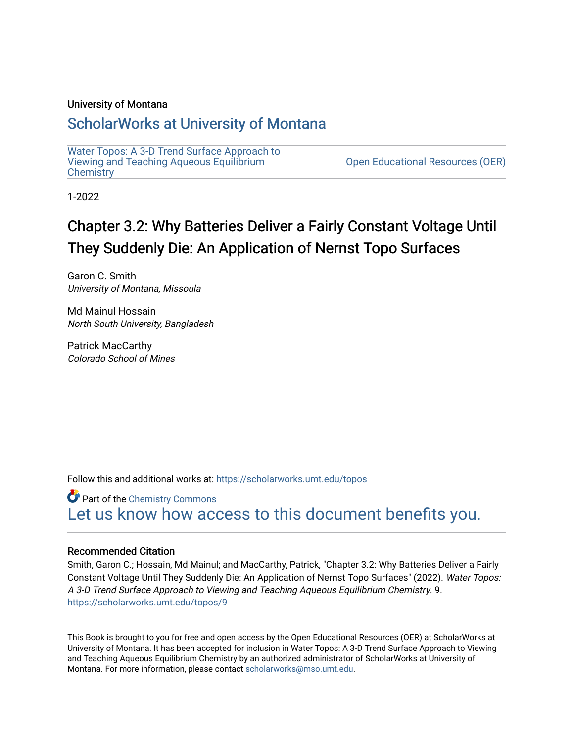#### University of Montana

#### [ScholarWorks at University of Montana](https://scholarworks.umt.edu/)

[Water Topos: A 3-D Trend Surface Approach to](https://scholarworks.umt.edu/topos) [Viewing and Teaching Aqueous Equilibrium](https://scholarworks.umt.edu/topos) **Chemistry** 

[Open Educational Resources \(OER\)](https://scholarworks.umt.edu/open_educational_resources) 

1-2022

# Chapter 3.2: Why Batteries Deliver a Fairly Constant Voltage Until They Suddenly Die: An Application of Nernst Topo Surfaces

Garon C. Smith University of Montana, Missoula

Md Mainul Hossain North South University, Bangladesh

Patrick MacCarthy Colorado School of Mines

Follow this and additional works at: [https://scholarworks.umt.edu/topos](https://scholarworks.umt.edu/topos?utm_source=scholarworks.umt.edu%2Ftopos%2F9&utm_medium=PDF&utm_campaign=PDFCoverPages) 

**Part of the Chemistry Commons** [Let us know how access to this document benefits you.](https://goo.gl/forms/s2rGfXOLzz71qgsB2) 

#### Recommended Citation

Smith, Garon C.; Hossain, Md Mainul; and MacCarthy, Patrick, "Chapter 3.2: Why Batteries Deliver a Fairly Constant Voltage Until They Suddenly Die: An Application of Nernst Topo Surfaces" (2022). Water Topos: A 3-D Trend Surface Approach to Viewing and Teaching Aqueous Equilibrium Chemistry. 9. [https://scholarworks.umt.edu/topos/9](https://scholarworks.umt.edu/topos/9?utm_source=scholarworks.umt.edu%2Ftopos%2F9&utm_medium=PDF&utm_campaign=PDFCoverPages) 

This Book is brought to you for free and open access by the Open Educational Resources (OER) at ScholarWorks at University of Montana. It has been accepted for inclusion in Water Topos: A 3-D Trend Surface Approach to Viewing and Teaching Aqueous Equilibrium Chemistry by an authorized administrator of ScholarWorks at University of Montana. For more information, please contact [scholarworks@mso.umt.edu.](mailto:scholarworks@mso.umt.edu)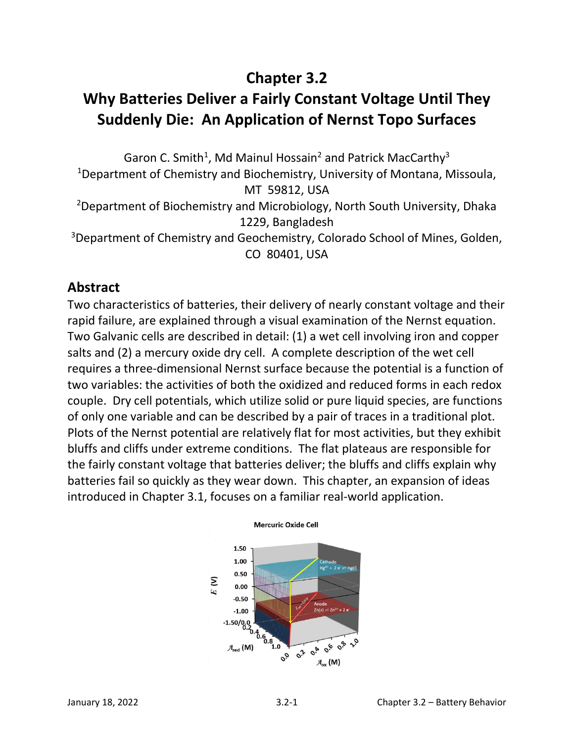# **Chapter 3.2**

# **Why Batteries Deliver a Fairly Constant Voltage Until They Suddenly Die: An Application of Nernst Topo Surfaces**

Garon C. Smith<sup>1</sup>, Md Mainul Hossain<sup>2</sup> and Patrick MacCarthy<sup>3</sup> <sup>1</sup>Department of Chemistry and Biochemistry, University of Montana, Missoula, MT 59812, USA <sup>2</sup>Department of Biochemistry and Microbiology, North South University, Dhaka 1229, Bangladesh <sup>3</sup>Department of Chemistry and Geochemistry, Colorado School of Mines, Golden, CO 80401, USA

# **Abstract**

Two characteristics of batteries, their delivery of nearly constant voltage and their rapid failure, are explained through a visual examination of the Nernst equation. Two Galvanic cells are described in detail: (1) a wet cell involving iron and copper salts and (2) a mercury oxide dry cell. A complete description of the wet cell requires a three-dimensional Nernst surface because the potential is a function of two variables: the activities of both the oxidized and reduced forms in each redox couple. Dry cell potentials, which utilize solid or pure liquid species, are functions of only one variable and can be described by a pair of traces in a traditional plot. Plots of the Nernst potential are relatively flat for most activities, but they exhibit bluffs and cliffs under extreme conditions. The flat plateaus are responsible for the fairly constant voltage that batteries deliver; the bluffs and cliffs explain why batteries fail so quickly as they wear down. This chapter, an expansion of ideas introduced in Chapter 3.1, focuses on a familiar real-world application.



#### **Mercuric Oxide Cell**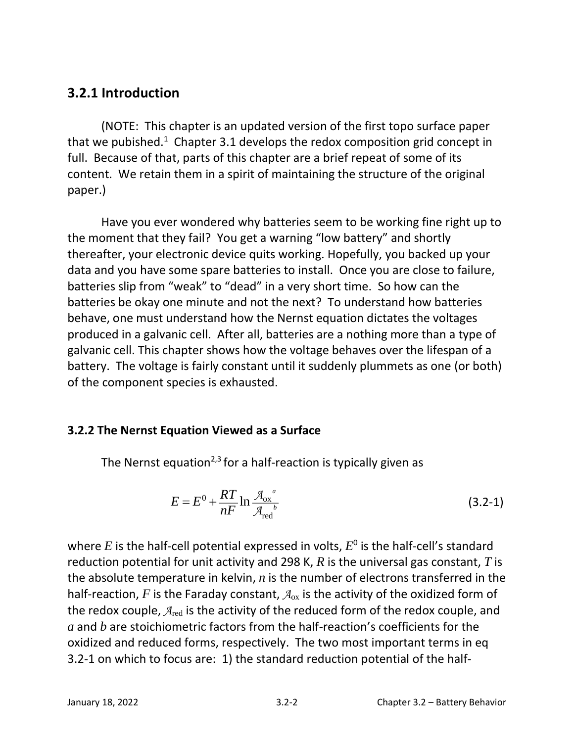# **3.2.1 Introduction**

(NOTE: This chapter is an updated version of the first topo surface paper that we pubished.<sup>1</sup> Chapter 3.1 develops the redox composition grid concept in full. Because of that, parts of this chapter are a brief repeat of some of its content. We retain them in a spirit of maintaining the structure of the original paper.)

Have you ever wondered why batteries seem to be working fine right up to the moment that they fail? You get a warning "low battery" and shortly thereafter, your electronic device quits working. Hopefully, you backed up your data and you have some spare batteries to install. Once you are close to failure, batteries slip from "weak" to "dead" in a very short time. So how can the batteries be okay one minute and not the next? To understand how batteries behave, one must understand how the Nernst equation dictates the voltages produced in a galvanic cell. After all, batteries are a nothing more than a type of galvanic cell. This chapter shows how the voltage behaves over the lifespan of a battery. The voltage is fairly constant until it suddenly plummets as one (or both) of the component species is exhausted.

### **3.2.2 The Nernst Equation Viewed as a Surface**

The Nernst equation<sup>2,3</sup> for a half-reaction is typically given as

$$
E = E^0 + \frac{RT}{nF} \ln \frac{\mathcal{A}_{\text{ox}}^a}{\mathcal{A}_{\text{red}}^b}
$$
 (3.2-1)

where  $E$  is the half-cell potential expressed in volts,  $E^0$  is the half-cell's standard reduction potential for unit activity and 298 K, *R* is the universal gas constant, *T* is the absolute temperature in kelvin, *n* is the number of electrons transferred in the half-reaction,  $F$  is the Faraday constant,  $A_{ox}$  is the activity of the oxidized form of the redox couple,  $A_{\text{red}}$  is the activity of the reduced form of the redox couple, and *a* and *b* are stoichiometric factors from the half-reaction's coefficients for the oxidized and reduced forms, respectively. The two most important terms in eq 3.2-1 on which to focus are: 1) the standard reduction potential of the half-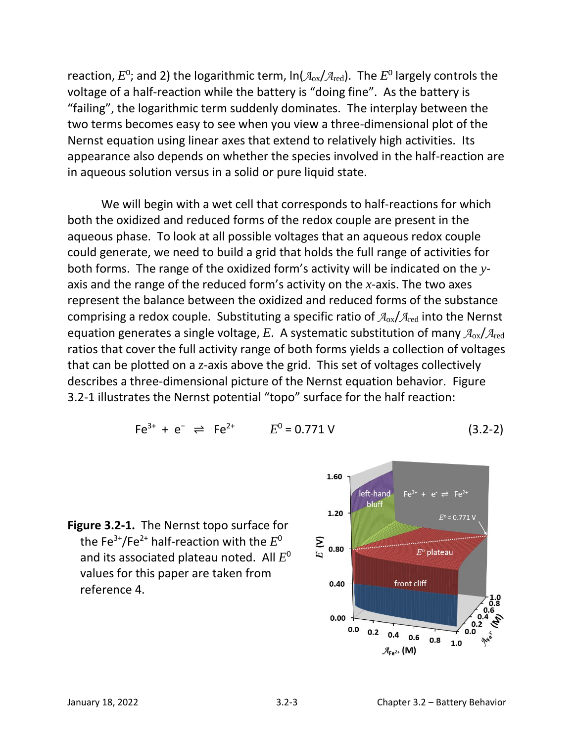reaction,  $E^0$ ; and 2) the logarithmic term,  $\ln (\mathcal{A}_{\rm ox}/\mathcal{A}_{\rm red})$ . The  $E^0$  largely controls the voltage of a half-reaction while the battery is "doing fine". As the battery is "failing", the logarithmic term suddenly dominates. The interplay between the two terms becomes easy to see when you view a three-dimensional plot of the Nernst equation using linear axes that extend to relatively high activities. Its appearance also depends on whether the species involved in the half-reaction are in aqueous solution versus in a solid or pure liquid state.

We will begin with a wet cell that corresponds to half-reactions for which both the oxidized and reduced forms of the redox couple are present in the aqueous phase. To look at all possible voltages that an aqueous redox couple could generate, we need to build a grid that holds the full range of activities for both forms. The range of the oxidized form's activity will be indicated on the *y*axis and the range of the reduced form's activity on the *x*-axis. The two axes represent the balance between the oxidized and reduced forms of the substance comprising a redox couple. Substituting a specific ratio of  $A_{ox}/A_{red}$  into the Nernst equation generates a single voltage, *E*. A systematic substitution of many *A*ox/*A*red ratios that cover the full activity range of both forms yields a collection of voltages that can be plotted on a *z*-axis above the grid. This set of voltages collectively describes a three-dimensional picture of the Nernst equation behavior. Figure 3.2-1 illustrates the Nernst potential "topo" surface for the half reaction:

$$
Fe^{3+} + e^{-} \rightleftharpoons Fe^{2+} \qquad E^{0} = 0.771 \text{ V} \qquad (3.2-2)
$$



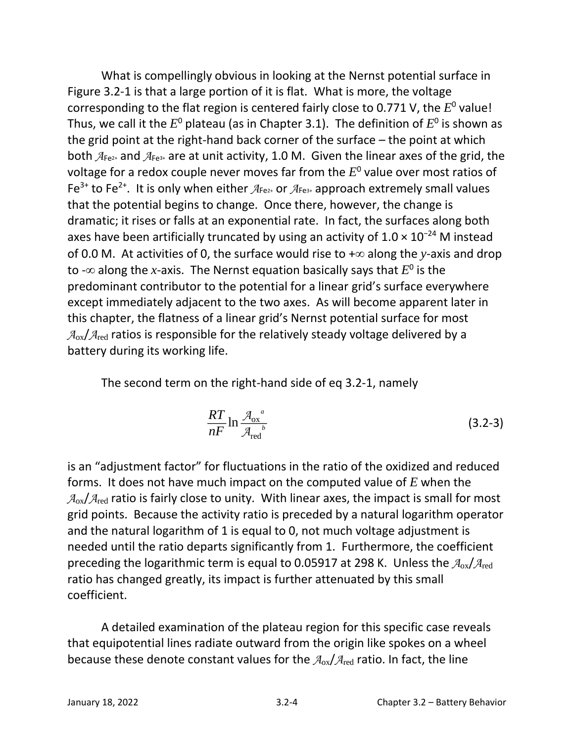What is compellingly obvious in looking at the Nernst potential surface in Figure 3.2-1 is that a large portion of it is flat. What is more, the voltage corresponding to the flat region is centered fairly close to 0.771 V, the  $E^0$  value! Thus, we call it the  $E^0$  plateau (as in Chapter 3.1). The definition of  $E^0$  is shown as the grid point at the right-hand back corner of the surface – the point at which both *A*Fe2+ and *A*Fe3+ are at unit activity, 1.0 M. Given the linear axes of the grid, the voltage for a redox couple never moves far from the *E* 0 value over most ratios of Fe<sup>3+</sup> to Fe<sup>2+</sup>. It is only when either  $A_{Fe2+}$  or  $A_{Fe3+}$  approach extremely small values that the potential begins to change. Once there, however, the change is dramatic; it rises or falls at an exponential rate. In fact, the surfaces along both axes have been artificially truncated by using an activity of  $1.0 \times 10^{-24}$  M instead of 0.0 M. At activities of 0, the surface would rise to  $+\infty$  along the *y*-axis and drop to - $\infty$  along the *x*-axis. The Nernst equation basically says that  $E^0$  is the predominant contributor to the potential for a linear grid's surface everywhere except immediately adjacent to the two axes. As will become apparent later in this chapter, the flatness of a linear grid's Nernst potential surface for most  $A_{ox}/A_{red}$  ratios is responsible for the relatively steady voltage delivered by a battery during its working life.

The second term on the right-hand side of eq 3.2-1, namely

$$
\frac{RT}{nF} \ln \frac{\mathcal{A}_{\text{ox}}^a}{\mathcal{A}_{\text{red}}^b} \tag{3.2-3}
$$

is an "adjustment factor" for fluctuations in the ratio of the oxidized and reduced forms. It does not have much impact on the computed value of *E* when the  $A_{ox}/A_{red}$  ratio is fairly close to unity. With linear axes, the impact is small for most grid points. Because the activity ratio is preceded by a natural logarithm operator and the natural logarithm of 1 is equal to 0, not much voltage adjustment is needed until the ratio departs significantly from 1. Furthermore, the coefficient preceding the logarithmic term is equal to 0.05917 at 298 K. Unless the *A*ox/*A*red ratio has changed greatly, its impact is further attenuated by this small coefficient.

A detailed examination of the plateau region for this specific case reveals that equipotential lines radiate outward from the origin like spokes on a wheel because these denote constant values for the *A*ox/*A*red ratio. In fact, the line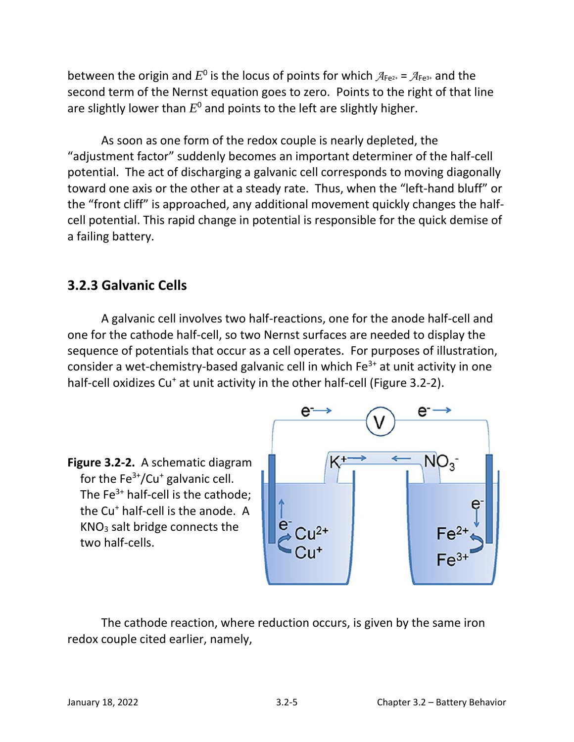between the origin and  $E^0$  is the locus of points for which  $A_{Fe^{2+}} = A_{Fe^{3+}}$  and the second term of the Nernst equation goes to zero. Points to the right of that line are slightly lower than  $E^0$  and points to the left are slightly higher.

As soon as one form of the redox couple is nearly depleted, the "adjustment factor" suddenly becomes an important determiner of the half-cell potential. The act of discharging a galvanic cell corresponds to moving diagonally toward one axis or the other at a steady rate. Thus, when the "left-hand bluff" or the "front cliff" is approached, any additional movement quickly changes the halfcell potential. This rapid change in potential is responsible for the quick demise of a failing battery.

### **3.2.3 Galvanic Cells**

A galvanic cell involves two half-reactions, one for the anode half-cell and one for the cathode half-cell, so two Nernst surfaces are needed to display the sequence of potentials that occur as a cell operates. For purposes of illustration, consider a wet-chemistry-based galvanic cell in which  $Fe<sup>3+</sup>$  at unit activity in one half-cell oxidizes Cu<sup>+</sup> at unit activity in the other half-cell (Figure 3.2-2).





The cathode reaction, where reduction occurs, is given by the same iron redox couple cited earlier, namely,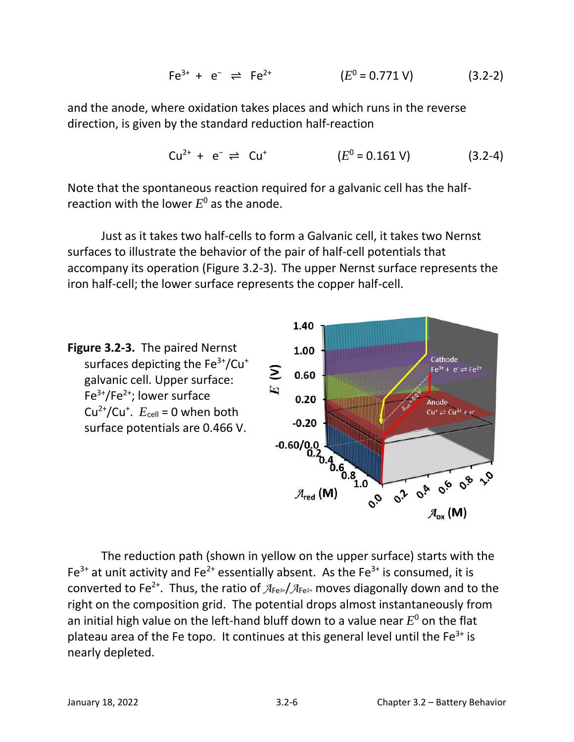$$
Fe^{3+} + e^{-} \rightleftharpoons Fe^{2+} \qquad (E^{0} = 0.771 \text{ V}) \qquad (3.2-2)
$$

and the anode, where oxidation takes places and which runs in the reverse direction, is given by the standard reduction half-reaction

$$
Cu^{2+} + e^{-} \rightleftharpoons Cu^{+} \qquad (E^{0} = 0.161 \text{ V}) \qquad (3.2-4)
$$

Note that the spontaneous reaction required for a galvanic cell has the halfreaction with the lower  $E^0$  as the anode.

Just as it takes two half-cells to form a Galvanic cell, it takes two Nernst surfaces to illustrate the behavior of the pair of half-cell potentials that accompany its operation (Figure 3.2-3). The upper Nernst surface represents the iron half-cell; the lower surface represents the copper half-cell.



The reduction path (shown in yellow on the upper surface) starts with the Fe<sup>3+</sup> at unit activity and Fe<sup>2+</sup> essentially absent. As the Fe<sup>3+</sup> is consumed, it is converted to Fe<sup>2+</sup>. Thus, the ratio of  $A_{Fe^{3+}}/A_{Fe^{2+}}$  moves diagonally down and to the right on the composition grid. The potential drops almost instantaneously from an initial high value on the left-hand bluff down to a value near  $E^0$  on the flat plateau area of the Fe topo. It continues at this general level until the  $Fe<sup>3+</sup>$  is nearly depleted.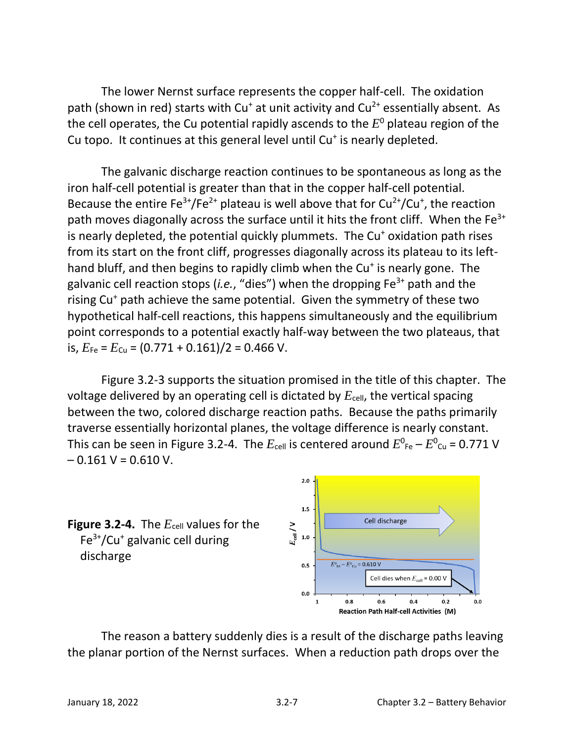The lower Nernst surface represents the copper half-cell. The oxidation path (shown in red) starts with  $Cu<sup>+</sup>$  at unit activity and  $Cu<sup>2+</sup>$  essentially absent. As the cell operates, the Cu potential rapidly ascends to the *E* <sup>0</sup> plateau region of the Cu topo. It continues at this general level until Cu<sup>+</sup> is nearly depleted.

The galvanic discharge reaction continues to be spontaneous as long as the iron half-cell potential is greater than that in the copper half-cell potential. Because the entire  $Fe^{3+}/Fe^{2+}$  plateau is well above that for  $Cu^{2+}/Cu^{+}$ , the reaction path moves diagonally across the surface until it hits the front cliff. When the  $Fe<sup>3+</sup>$ is nearly depleted, the potential quickly plummets. The  $Cu<sup>+</sup>$  oxidation path rises from its start on the front cliff, progresses diagonally across its plateau to its lefthand bluff, and then begins to rapidly climb when the Cu<sup>+</sup> is nearly gone. The galvanic cell reaction stops (*i.e.*, "dies") when the dropping Fe3+ path and the rising Cu<sup>+</sup> path achieve the same potential. Given the symmetry of these two hypothetical half-cell reactions, this happens simultaneously and the equilibrium point corresponds to a potential exactly half-way between the two plateaus, that is,  $E_{Fe} = E_{Cu} = (0.771 + 0.161)/2 = 0.466$  V.

Figure 3.2-3 supports the situation promised in the title of this chapter. The voltage delivered by an operating cell is dictated by  $E_{cell}$ , the vertical spacing between the two, colored discharge reaction paths. Because the paths primarily traverse essentially horizontal planes, the voltage difference is nearly constant. This can be seen in Figure 3.2-4. The  $E_{\text{cell}}$  is centered around  $E_{\text{}^0\text{Fe}}-E_{\text{}^0\text{Cu}}$  = 0.771 V  $-0.161 V = 0.610 V$ .



The reason a battery suddenly dies is a result of the discharge paths leaving the planar portion of the Nernst surfaces. When a reduction path drops over the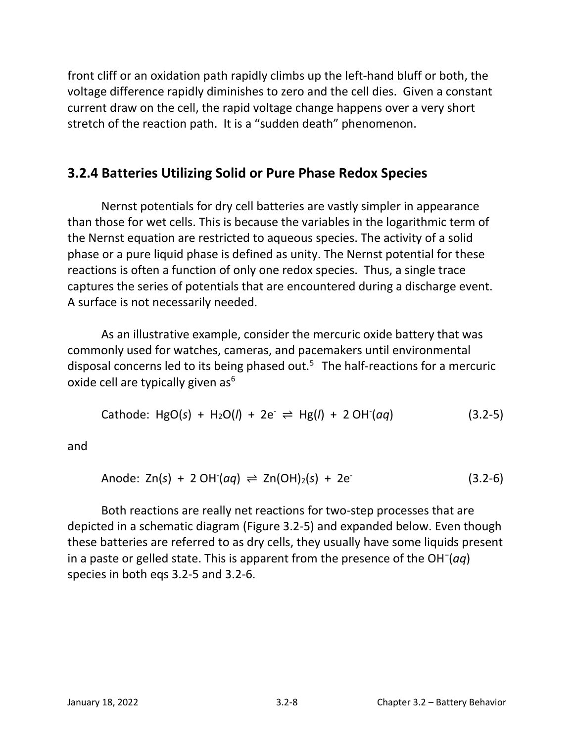front cliff or an oxidation path rapidly climbs up the left-hand bluff or both, the voltage difference rapidly diminishes to zero and the cell dies. Given a constant current draw on the cell, the rapid voltage change happens over a very short stretch of the reaction path. It is a "sudden death" phenomenon.

# **3.2.4 Batteries Utilizing Solid or Pure Phase Redox Species**

Nernst potentials for dry cell batteries are vastly simpler in appearance than those for wet cells. This is because the variables in the logarithmic term of the Nernst equation are restricted to aqueous species. The activity of a solid phase or a pure liquid phase is defined as unity. The Nernst potential for these reactions is often a function of only one redox species. Thus, a single trace captures the series of potentials that are encountered during a discharge event. A surface is not necessarily needed.

As an illustrative example, consider the mercuric oxide battery that was commonly used for watches, cameras, and pacemakers until environmental disposal concerns led to its being phased out.<sup>5</sup> The half-reactions for a mercuric oxide cell are typically given  $as<sup>6</sup>$ 

Cathode: 
$$
HgO(s) + H_2O(l) + 2e \rightleftharpoons Hg(l) + 2OH(aq)
$$
 (3.2-5)

and

$$
Anode: Zn(s) + 2 OH(aq) \rightleftharpoons Zn(OH)_2(s) + 2e
$$
\n(3.2-6)

Both reactions are really net reactions for two-step processes that are depicted in a schematic diagram (Figure 3.2-5) and expanded below. Even though these batteries are referred to as dry cells, they usually have some liquids present in a paste or gelled state. This is apparent from the presence of the OH<sup>−</sup> (*aq*) species in both eqs 3.2-5 and 3.2-6.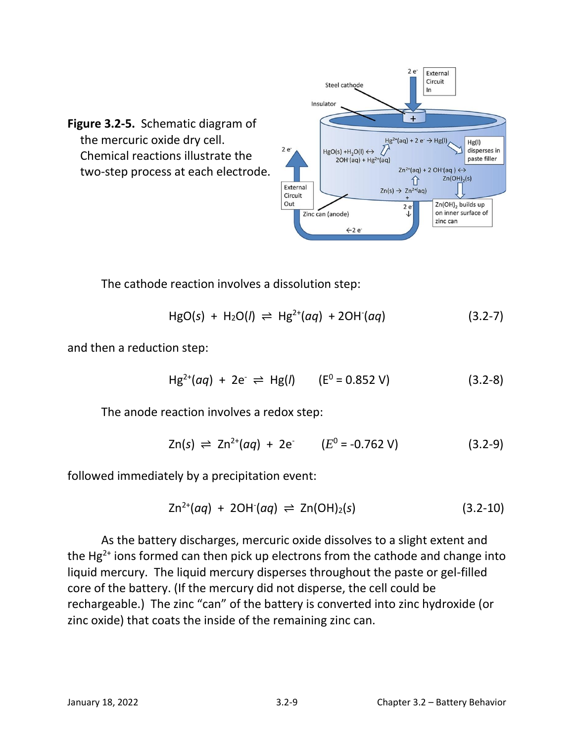

The cathode reaction involves a dissolution step:

$$
HgO(s) + H_2O(l) \rightleftharpoons Hg^{2+}(aq) + 2OH(qq)
$$
 (3.2-7)

and then a reduction step:

$$
Hg^{2+}(aq) + 2e^- \rightleftharpoons Hg(l) \qquad (E^0 = 0.852 \text{ V}) \qquad (3.2-8)
$$

The anode reaction involves a redox step:

$$
Zn(s) \rightleftharpoons Zn^{2+}(aq) + 2e \qquad (E^0 = -0.762 \text{ V}) \qquad (3.2-9)
$$

followed immediately by a precipitation event:

$$
Zn^{2+}(aq) + 2OH(qq) \rightleftharpoons Zn(OH)_2(s) \qquad (3.2-10)
$$

As the battery discharges, mercuric oxide dissolves to a slight extent and the  $Hg^{2+}$  ions formed can then pick up electrons from the cathode and change into liquid mercury. The liquid mercury disperses throughout the paste or gel-filled core of the battery. (If the mercury did not disperse, the cell could be rechargeable.) The zinc "can" of the battery is converted into zinc hydroxide (or zinc oxide) that coats the inside of the remaining zinc can.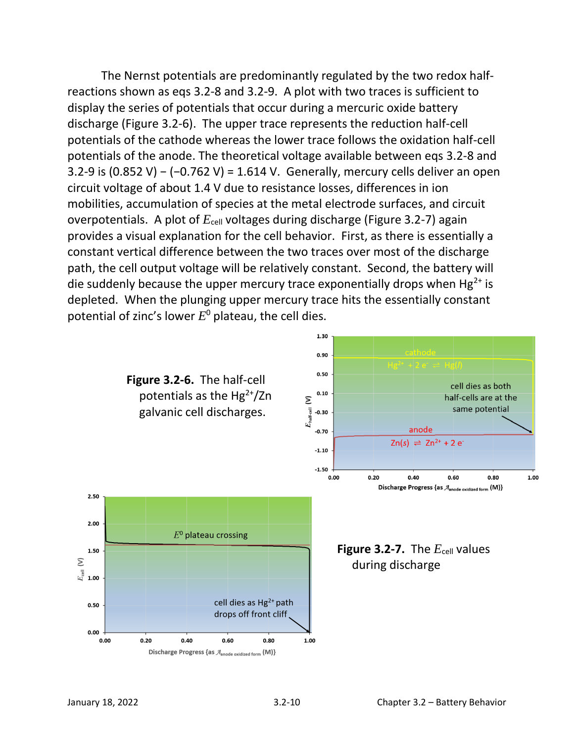The Nernst potentials are predominantly regulated by the two redox halfreactions shown as eqs 3.2-8 and 3.2-9. A plot with two traces is sufficient to display the series of potentials that occur during a mercuric oxide battery discharge (Figure 3.2-6). The upper trace represents the reduction half-cell potentials of the cathode whereas the lower trace follows the oxidation half-cell potentials of the anode. The theoretical voltage available between eqs 3.2-8 and 3.2-9 is (0.852 V) − (−0.762 V) = 1.614 V. Generally, mercury cells deliver an open circuit voltage of about 1.4 V due to resistance losses, differences in ion mobilities, accumulation of species at the metal electrode surfaces, and circuit overpotentials. A plot of  $E_{cell}$  voltages during discharge (Figure 3.2-7) again provides a visual explanation for the cell behavior. First, as there is essentially a constant vertical difference between the two traces over most of the discharge path, the cell output voltage will be relatively constant. Second, the battery will die suddenly because the upper mercury trace exponentially drops when  $Hg^{2+}$  is depleted. When the plunging upper mercury trace hits the essentially constant potential of zinc's lower *E* <sup>0</sup> plateau, the cell dies.

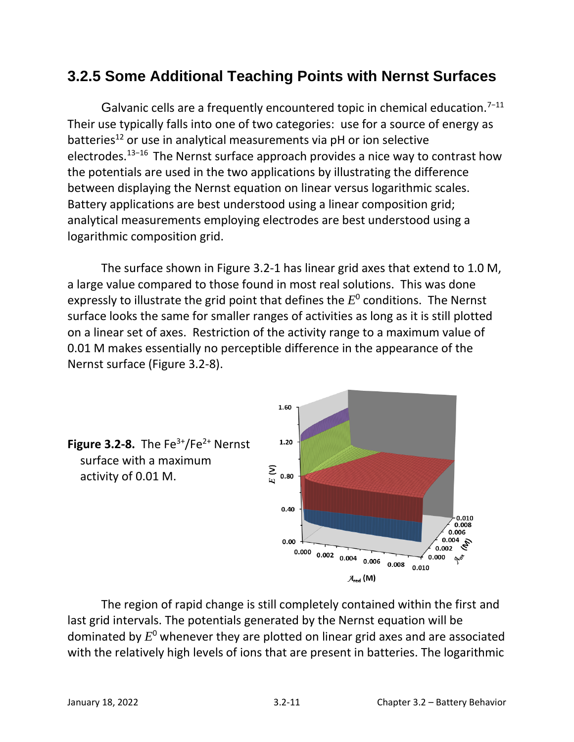# **3.2.5 Some Additional Teaching Points with Nernst Surfaces**

Galvanic cells are a frequently encountered topic in chemical education.<sup>7-11</sup> Their use typically falls into one of two categories: use for a source of energy as batteries<sup>12</sup> or use in analytical measurements via pH or ion selective electrodes.<sup>13</sup>−<sup>16</sup> The Nernst surface approach provides a nice way to contrast how the potentials are used in the two applications by illustrating the difference between displaying the Nernst equation on linear versus logarithmic scales. Battery applications are best understood using a linear composition grid; analytical measurements employing electrodes are best understood using a logarithmic composition grid.

The surface shown in Figure 3.2-1 has linear grid axes that extend to 1.0 M, a large value compared to those found in most real solutions. This was done expressly to illustrate the grid point that defines the  $E^0$  conditions. The Nernst surface looks the same for smaller ranges of activities as long as it is still plotted on a linear set of axes. Restriction of the activity range to a maximum value of 0.01 M makes essentially no perceptible difference in the appearance of the Nernst surface (Figure 3.2-8).



The region of rapid change is still completely contained within the first and last grid intervals. The potentials generated by the Nernst equation will be dominated by *E* <sup>0</sup> whenever they are plotted on linear grid axes and are associated with the relatively high levels of ions that are present in batteries. The logarithmic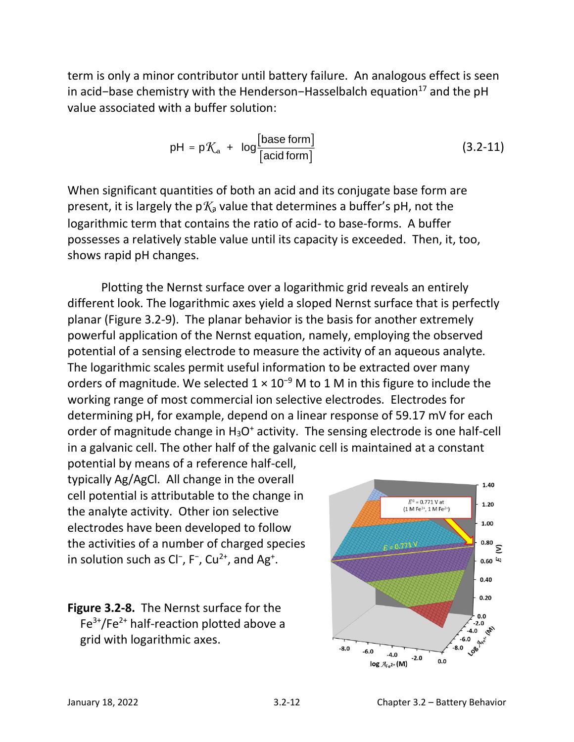term is only a minor contributor until battery failure. An analogous effect is seen in acid−base chemistry with the Henderson−Hasselbalch equation<sup>17</sup> and the pH value associated with a buffer solution:

$$
pH = pK_a + log\frac{[base form]}{[acid form]}
$$
 (3.2-11)

When significant quantities of both an acid and its conjugate base form are present, it is largely the  $pK_a$  value that determines a buffer's  $pH$ , not the logarithmic term that contains the ratio of acid- to base-forms. A buffer possesses a relatively stable value until its capacity is exceeded. Then, it, too, shows rapid pH changes.

Plotting the Nernst surface over a logarithmic grid reveals an entirely different look. The logarithmic axes yield a sloped Nernst surface that is perfectly planar (Figure 3.2-9). The planar behavior is the basis for another extremely powerful application of the Nernst equation, namely, employing the observed potential of a sensing electrode to measure the activity of an aqueous analyte. The logarithmic scales permit useful information to be extracted over many orders of magnitude. We selected  $1 \times 10^{-9}$  M to 1 M in this figure to include the working range of most commercial ion selective electrodes. Electrodes for determining pH, for example, depend on a linear response of 59.17 mV for each order of magnitude change in  $H_3O^+$  activity. The sensing electrode is one half-cell in a galvanic cell. The other half of the galvanic cell is maintained at a constant

potential by means of a reference half-cell, typically Ag/AgCl. All change in the overall cell potential is attributable to the change in the analyte activity. Other ion selective electrodes have been developed to follow the activities of a number of charged species in solution such as Cl<sup>-</sup>, F<sup>-</sup>, Cu<sup>2+</sup>, and Ag<sup>+</sup>.

**Figure 3.2-8.** The Nernst surface for the  $Fe<sup>3+</sup>/Fe<sup>2+</sup>$  half-reaction plotted above a grid with logarithmic axes.

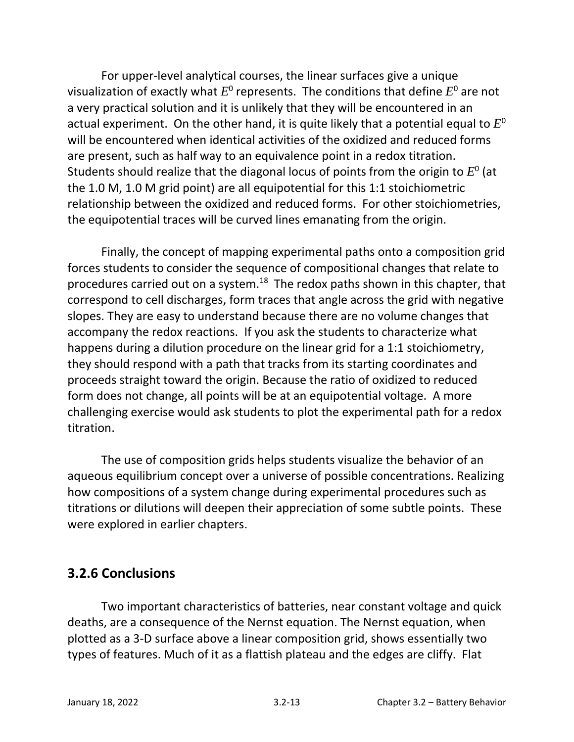For upper-level analytical courses, the linear surfaces give a unique visualization of exactly what  $E^0$  represents. The conditions that define  $E^0$  are not a very practical solution and it is unlikely that they will be encountered in an actual experiment. On the other hand, it is quite likely that a potential equal to  $E^0$ will be encountered when identical activities of the oxidized and reduced forms are present, such as half way to an equivalence point in a redox titration. Students should realize that the diagonal locus of points from the origin to  $E^0$  (at the 1.0 M, 1.0 M grid point) are all equipotential for this 1:1 stoichiometric relationship between the oxidized and reduced forms. For other stoichiometries, the equipotential traces will be curved lines emanating from the origin.

Finally, the concept of mapping experimental paths onto a composition grid forces students to consider the sequence of compositional changes that relate to procedures carried out on a system.<sup>18</sup> The redox paths shown in this chapter, that correspond to cell discharges, form traces that angle across the grid with negative slopes. They are easy to understand because there are no volume changes that accompany the redox reactions. If you ask the students to characterize what happens during a dilution procedure on the linear grid for a 1:1 stoichiometry, they should respond with a path that tracks from its starting coordinates and proceeds straight toward the origin. Because the ratio of oxidized to reduced form does not change, all points will be at an equipotential voltage. A more challenging exercise would ask students to plot the experimental path for a redox titration.

The use of composition grids helps students visualize the behavior of an aqueous equilibrium concept over a universe of possible concentrations. Realizing how compositions of a system change during experimental procedures such as titrations or dilutions will deepen their appreciation of some subtle points. These were explored in earlier chapters.

# **3.2.6 Conclusions**

Two important characteristics of batteries, near constant voltage and quick deaths, are a consequence of the Nernst equation. The Nernst equation, when plotted as a 3-D surface above a linear composition grid, shows essentially two types of features. Much of it as a flattish plateau and the edges are cliffy. Flat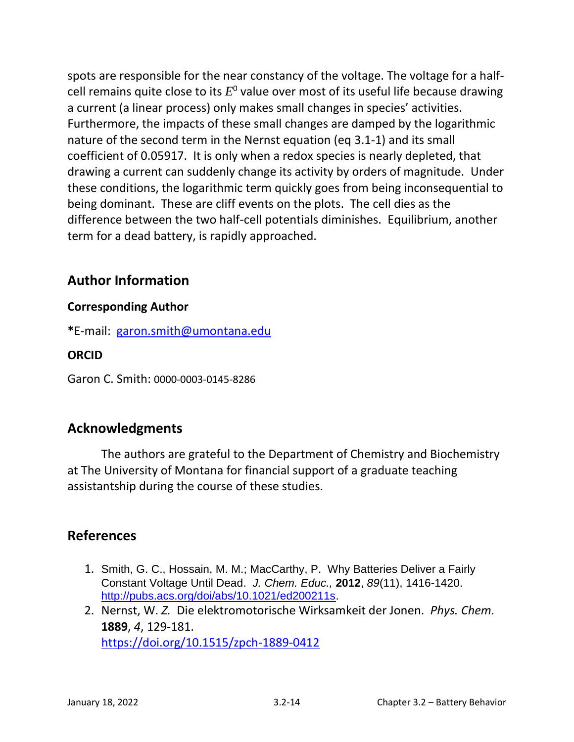spots are responsible for the near constancy of the voltage. The voltage for a halfcell remains quite close to its  $E^0$  value over most of its useful life because drawing a current (a linear process) only makes small changes in species' activities. Furthermore, the impacts of these small changes are damped by the logarithmic nature of the second term in the Nernst equation (eq 3.1-1) and its small coefficient of 0.05917. It is only when a redox species is nearly depleted, that drawing a current can suddenly change its activity by orders of magnitude. Under these conditions, the logarithmic term quickly goes from being inconsequential to being dominant. These are cliff events on the plots. The cell dies as the difference between the two half-cell potentials diminishes. Equilibrium, another term for a dead battery, is rapidly approached.

# **Author Information**

#### **Corresponding Author**

**\***E-mail: [garon.smith@umontana.edu](mailto:garon.smith@umontana.edu)

#### **ORCID**

Garon C. Smith: 0000-0003-0145-8286

### **Acknowledgments**

The authors are grateful to the Department of Chemistry and Biochemistry at The University of Montana for financial support of a graduate teaching assistantship during the course of these studies.

### **References**

- 1. Smith, G. C., Hossain, M. M.; MacCarthy, P. Why Batteries Deliver a Fairly Constant Voltage Until Dead. *J. Chem. Educ.,* **2012**, *89*(11), 1416-1420. [http://pubs.acs.org/doi/abs/10.1021/ed200211s.](http://pubs.acs.org/doi/abs/10.1021/ed200211s)
- 2. Nernst, W. *Z.* Die elektromotorische Wirksamkeit der Jonen. *Phys. Chem.*  **1889**, *4*, 129-181. <https://doi.org/10.1515/zpch-1889-0412>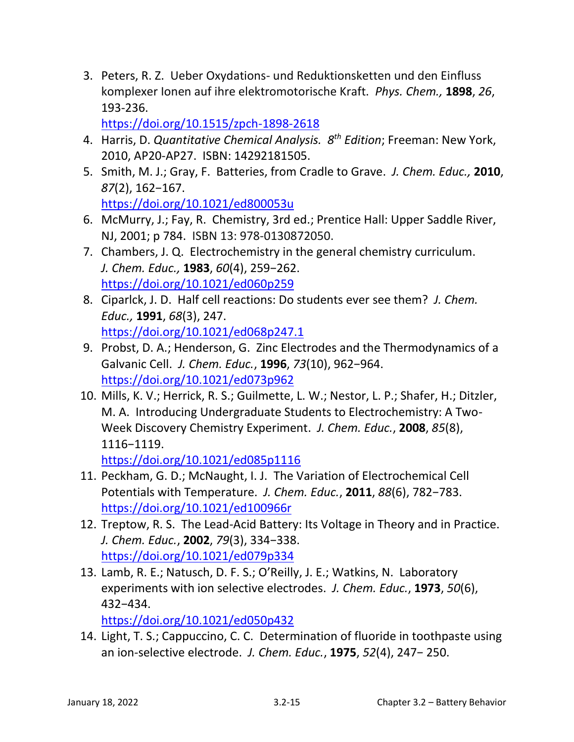3. Peters, R. Z.Ueber Oxydations- und Reduktionsketten und den Einfluss komplexer Ionen auf ihre elektromotorische Kraft. *Phys. Chem.,* **1898**, *26*, 193-236.

<https://doi.org/10.1515/zpch-1898-2618>

- 4. Harris, D. *Quantitative Chemical Analysis. 8th Edition*; Freeman: New York, 2010, AP20-AP27. ISBN: 14292181505.
- 5. Smith, M. J.; Gray, F. [Batteries, from Cradle to Grave.](https://pubs.acs.org/doi/10.1021/ed800053u) *J. Chem. Educ.,* **2010**, *87*(2), 162−167. <https://doi.org/10.1021/ed800053u>
- 6. McMurry, J.; Fay, R. Chemistry, 3rd ed.; Prentice Hall: Upper Saddle River, NJ, 2001; p 784. ISBN 13: 978-0130872050.
- 7. Chambers, J. Q. Electrochemistry in the general chemistry curriculum. *J. Chem. Educ.,* **1983**, *60*(4), 259−262. <https://doi.org/10.1021/ed060p259>
- 8. Ciparlck, J. D. Half cell reactions: Do students ever see them? *J. Chem. Educ.,* **1991**, *68*(3), 247. <https://doi.org/10.1021/ed068p247.1>
- 9. Probst, D. A.; Henderson, G. [Zinc Electrodes and the Thermodynamics of a](https://pubs.acs.org/doi/10.1021/ed073p962)  [Galvanic Cell.](https://pubs.acs.org/doi/10.1021/ed073p962) *J. Chem. Educ.*, **1996**, *73*(10), 962−964. <https://doi.org/10.1021/ed073p962>
- 10. Mills, K. V.; Herrick, R. S.; Guilmette, L. W.; Nestor, L. P.; Shafer, H.; Ditzler, M. A. [Introducing Undergraduate Students to Electrochemistry: A Two-](https://pubs.acs.org/doi/10.1021/ed085p1116)[Week Discovery Chemistry Experiment.](https://pubs.acs.org/doi/10.1021/ed085p1116) *J. Chem. Educ.*, **2008**, *85*(8), 1116−1119.

<https://doi.org/10.1021/ed085p1116>

- 11. Peckham, G. D.; McNaught, I. J. [The Variation of Electrochemical Cell](https://pubs.acs.org/doi/10.1021/ed100966r)  [Potentials with Temperature.](https://pubs.acs.org/doi/10.1021/ed100966r) *J. Chem. Educ.*, **2011**, *88*(6), 782−783. <https://doi.org/10.1021/ed100966r>
- 12. Treptow, R. S. The Lead-Acid Battery: Its Voltage in Theory and in Practice. *J. Chem. Educ.*, **2002**, *79*(3), 334−338. <https://doi.org/10.1021/ed079p334>
- 13. Lamb, R. E.; Natusch, D. F. S.; O'Reilly, J. E.; Watkins, N. [Laboratory](https://pubs.acs.org/doi/10.1021/ed050p432)  [experiments with ion selective electrodes.](https://pubs.acs.org/doi/10.1021/ed050p432) *J. Chem. Educ.*, **1973**, *50*(6), 432−434.

<https://doi.org/10.1021/ed050p432>

14. Light, T. S.; Cappuccino, C. C. Determination of fluoride in toothpaste using an ion-selective electrode. *J. Chem. Educ.*, **1975**, *52*(4), 247− 250.